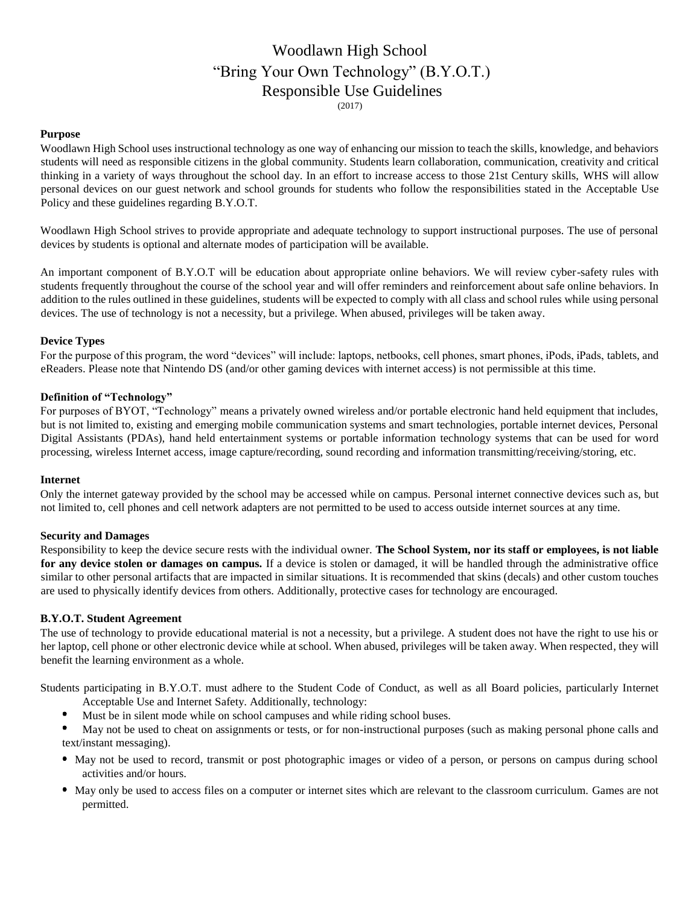# Woodlawn High School "Bring Your Own Technology" (B.Y.O.T.) Responsible Use Guidelines (2017)

## **Purpose**

Woodlawn High School uses instructional technology as one way of enhancing our mission to teach the skills, knowledge, and behaviors students will need as responsible citizens in the global community. Students learn collaboration, communication, creativity and critical thinking in a variety of ways throughout the school day. In an effort to increase access to those 21st Century skills, WHS will allow personal devices on our guest network and school grounds for students who follow the responsibilities stated in the Acceptable Use Policy and these guidelines regarding B.Y.O.T.

Woodlawn High School strives to provide appropriate and adequate technology to support instructional purposes. The use of personal devices by students is optional and alternate modes of participation will be available.

An important component of B.Y.O.T will be education about appropriate online behaviors. We will review cyber-safety rules with students frequently throughout the course of the school year and will offer reminders and reinforcement about safe online behaviors. In addition to the rules outlined in these guidelines, students will be expected to comply with all class and school rules while using personal devices. The use of technology is not a necessity, but a privilege. When abused, privileges will be taken away.

## **Device Types**

For the purpose of this program, the word "devices" will include: laptops, netbooks, cell phones, smart phones, iPods, iPads, tablets, and eReaders. Please note that Nintendo DS (and/or other gaming devices with internet access) is not permissible at this time.

## **Definition of "Technology"**

For purposes of BYOT, "Technology" means a privately owned wireless and/or portable electronic hand held equipment that includes, but is not limited to, existing and emerging mobile communication systems and smart technologies, portable internet devices, Personal Digital Assistants (PDAs), hand held entertainment systems or portable information technology systems that can be used for word processing, wireless Internet access, image capture/recording, sound recording and information transmitting/receiving/storing, etc.

#### **Internet**

Only the internet gateway provided by the school may be accessed while on campus. Personal internet connective devices such as, but not limited to, cell phones and cell network adapters are not permitted to be used to access outside internet sources at any time.

#### **Security and Damages**

Responsibility to keep the device secure rests with the individual owner. **The School System, nor its staff or employees, is not liable for any device stolen or damages on campus.** If a device is stolen or damaged, it will be handled through the administrative office similar to other personal artifacts that are impacted in similar situations. It is recommended that skins (decals) and other custom touches are used to physically identify devices from others. Additionally, protective cases for technology are encouraged.

#### **B.Y.O.T. Student Agreement**

The use of technology to provide educational material is not a necessity, but a privilege. A student does not have the right to use his or her laptop, cell phone or other electronic device while at school. When abused, privileges will be taken away. When respected, they will benefit the learning environment as a whole.

Students participating in B.Y.O.T. must adhere to the Student Code of Conduct, as well as all Board policies, particularly Internet Acceptable Use and Internet Safety. Additionally, technology:

- Must be in silent mode while on school campuses and while riding school buses.
- May not be used to cheat on assignments or tests, or for non-instructional purposes (such as making personal phone calls and text/instant messaging).
- May not be used to record, transmit or post photographic images or video of a person, or persons on campus during school activities and/or hours.
- May only be used to access files on a computer or internet sites which are relevant to the classroom curriculum. Games are not permitted.